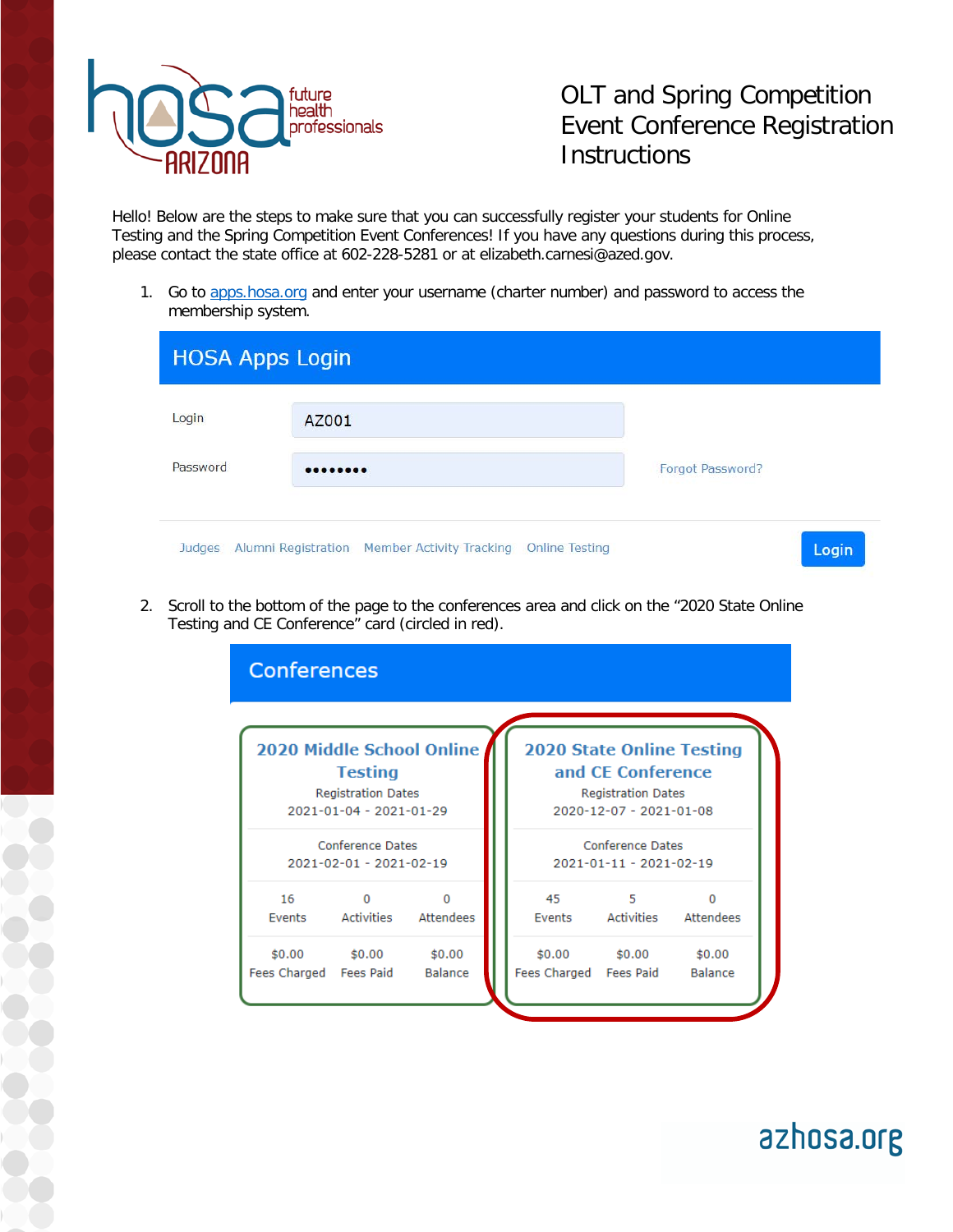

OLT and Spring Competition Event Conference Registration **Instructions** 

azhosa.org

Hello! Below are the steps to make sure that you can successfully register your students for Online Testing and the Spring Competition Event Conferences! If you have any questions during this process, please contact the state office at 602-228-5281 or at elizabeth.carnesi@azed.gov.

1. Go to apps.hosa.org and enter your username (charter number) and password to access the membership system.

| <b>HOSA Apps Login</b> |                                                             |                  |  |  |
|------------------------|-------------------------------------------------------------|------------------|--|--|
| Login                  | AZ001                                                       |                  |  |  |
| Password               |                                                             | Forgot Password? |  |  |
| Judges                 | Alumni Registration Member Activity Tracking Online Testing | Login            |  |  |

2. Scroll to the bottom of the page to the conferences area and click on the "2020 State Online Testing and CE Conference" card (circled in red).

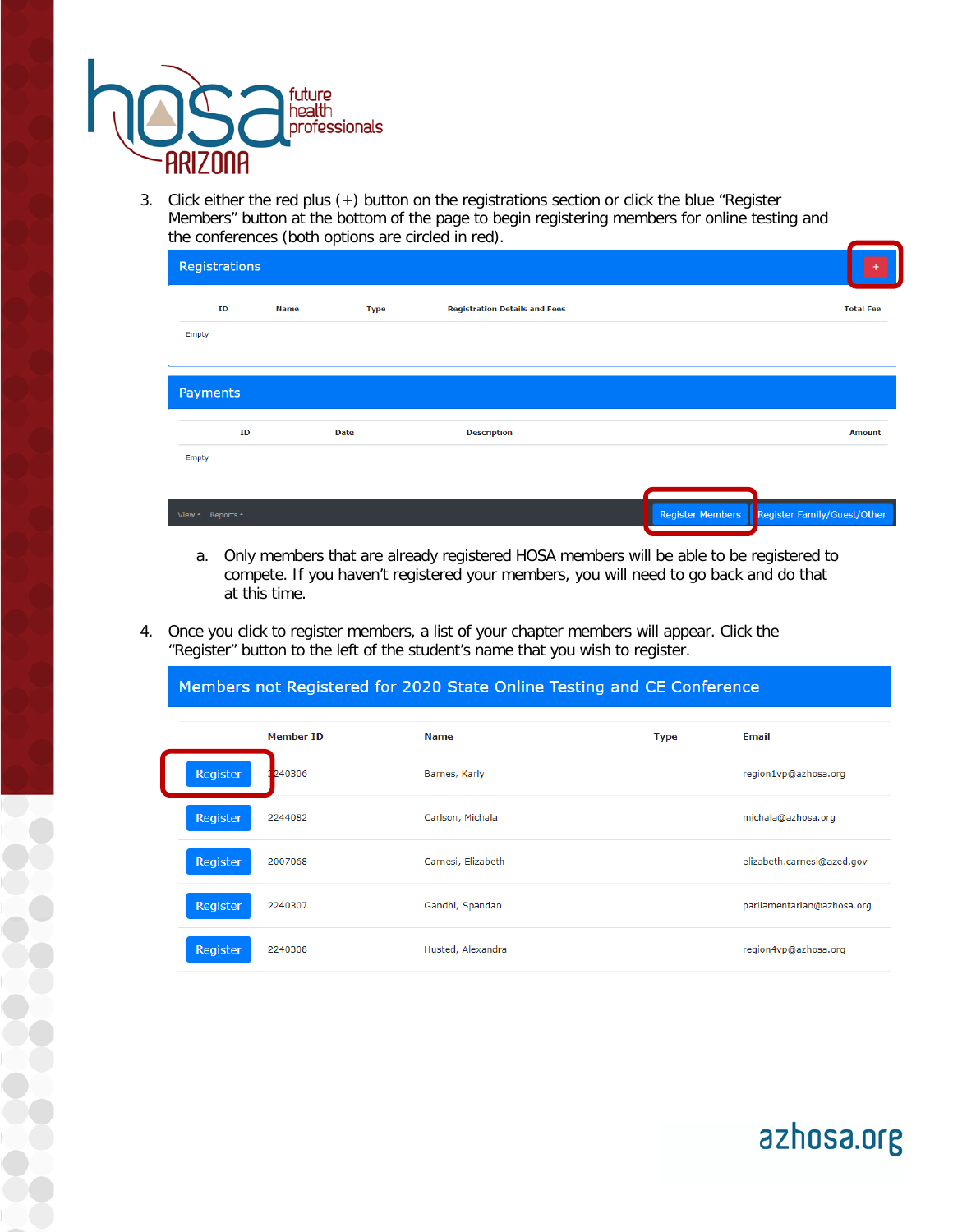

3. Click either the red plus (+) button on the registrations section or click the blue "Register Members" button at the bottom of the page to begin registering members for online testing and the conferences (both options are circled in red).

| Registrations    |             |             |                                      |                         |                             |                  |
|------------------|-------------|-------------|--------------------------------------|-------------------------|-----------------------------|------------------|
| ID               | <b>Name</b> | <b>Type</b> | <b>Registration Details and Fees</b> |                         |                             | <b>Total Fee</b> |
| Empty            |             |             |                                      |                         |                             |                  |
| Payments         |             |             |                                      |                         |                             |                  |
| ID               |             | <b>Date</b> | <b>Description</b>                   |                         |                             | <b>Amount</b>    |
| Empty            |             |             |                                      |                         |                             |                  |
| View - Reports - |             |             |                                      | <b>Register Members</b> | Register Family/Guest/Other |                  |

- a. Only members that are already registered HOSA members will be able to be registered to compete. If you haven't registered your members, you will need to go back and do that at this time.
- 4. Once you click to register members, a list of your chapter members will appear. Click the "Register" button to the left of the student's name that you wish to register.

Members not Registered for 2020 State Online Testing and CE Conference

|                 | <b>Member ID</b> | Name               | <b>Type</b> | Email                      |
|-----------------|------------------|--------------------|-------------|----------------------------|
| <b>Register</b> | 240306           | Barnes, Karly      |             | region1vp@azhosa.org       |
| <b>Register</b> | 2244082          | Carlson, Michala   |             | michala@azhosa.org         |
| <b>Register</b> | 2007068          | Carnesi, Elizabeth |             | elizabeth.carnesi@azed.gov |
| <b>Register</b> | 2240307          | Gandhi, Spandan    |             | parliamentarian@azhosa.org |
| Register        | 2240308          | Husted, Alexandra  |             | region4vp@azhosa.org       |

azhosa.org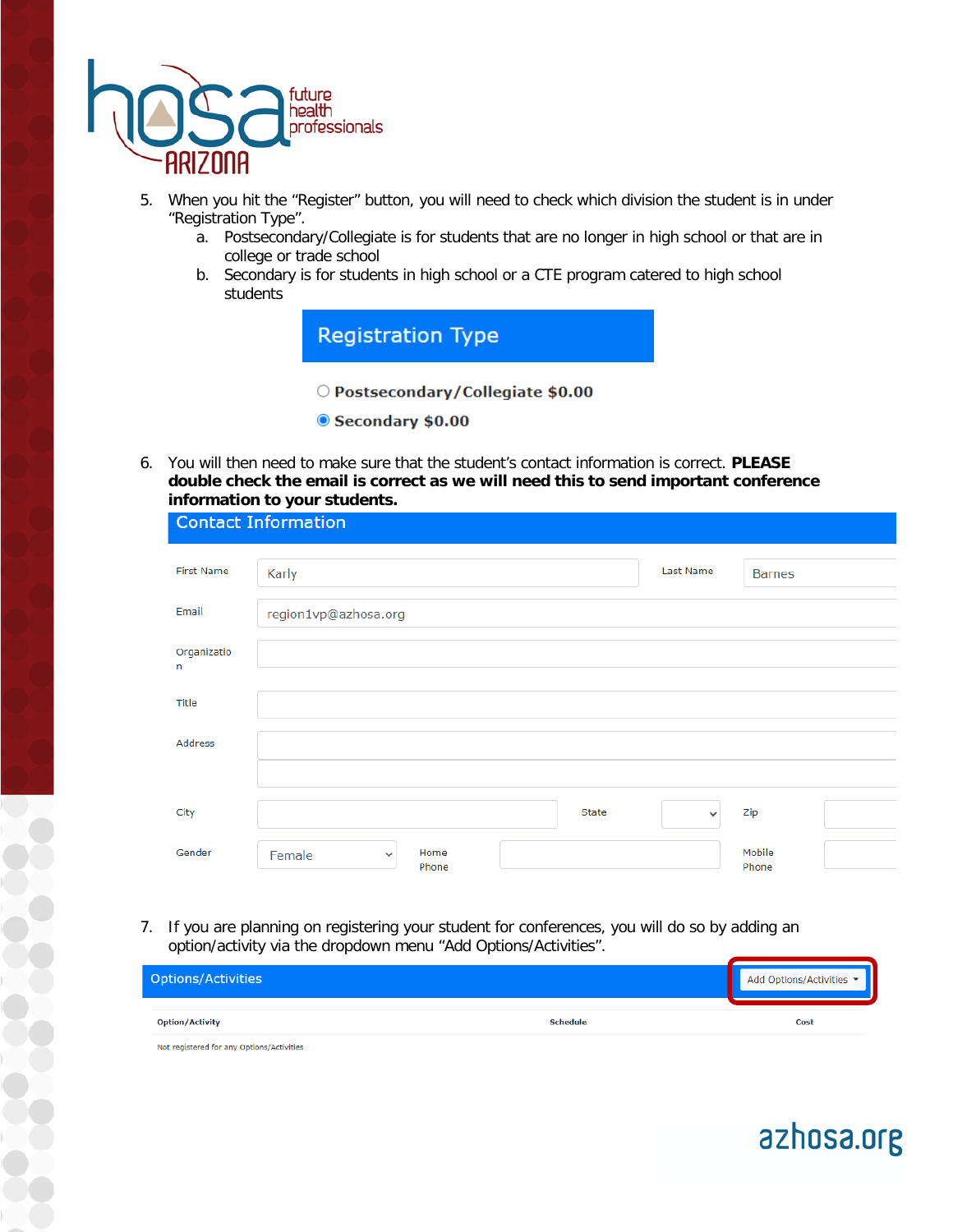

- 5. When you hit the "Register" button, you will need to check which division the student is in under "Registration Type".
	- a. Postsecondary/Collegiate is for students that are no longer in high school or that are in college or trade school
	- b. Secondary is for students in high school or a CTE program catered to high school students

**Registration Type** O Postsecondary/Collegiate \$0.00

- Secondary \$0.00
- 6. You will then need to make sure that the student's contact information is correct. **PLEASE double check the email is correct as we will need this to send important conference information to your students.**

|                   | <b>Contact Information</b> |               |       |              |                 |  |
|-------------------|----------------------------|---------------|-------|--------------|-----------------|--|
| <b>First Name</b> | Karly                      |               |       | Last Name    | <b>Barnes</b>   |  |
| Email             | region1vp@azhosa.org       |               |       |              |                 |  |
| Organizatio<br>n  |                            |               |       |              |                 |  |
| Title             |                            |               |       |              |                 |  |
| Address           |                            |               |       |              |                 |  |
|                   |                            |               |       |              |                 |  |
| City              |                            |               | State | $\checkmark$ | Zip             |  |
| Gender            | Female<br>$\checkmark$     | Home<br>Phone |       |              | Mobile<br>Phone |  |

7. If you are planning on registering your student for conferences, you will do so by adding an option/activity via the dropdown menu "Add Options/Activities".

| <b>Options/Activities</b>                 |                 | Add Options/Activities |
|-------------------------------------------|-----------------|------------------------|
| <b>Option/Activity</b>                    | <b>Schedule</b> | Cost                   |
| Not registered for any Options/Activities |                 |                        |

azhosa.org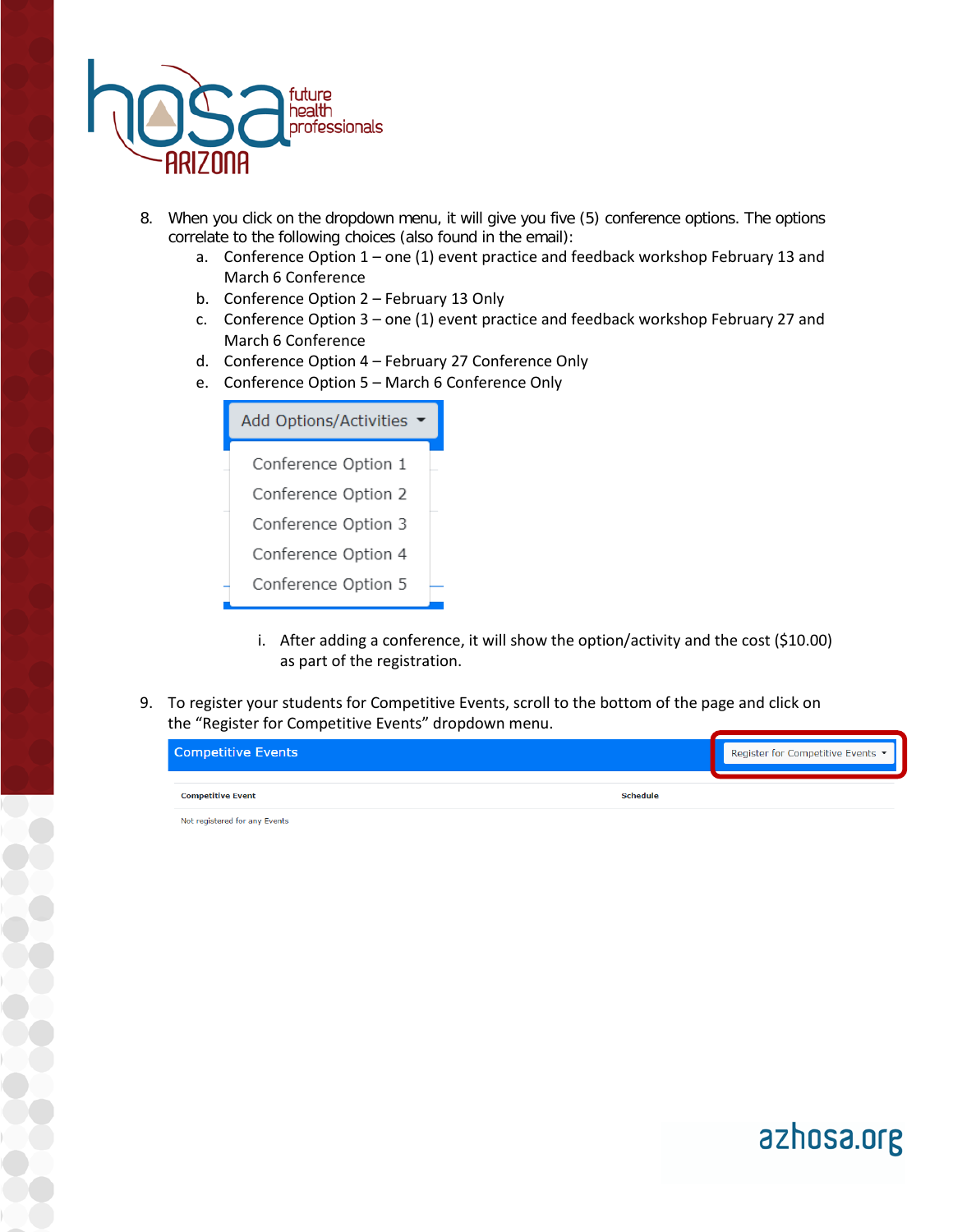

- 8. When you click on the dropdown menu, it will give you five (5) conference options. The options correlate to the following choices (also found in the email):
	- a. Conference Option 1 one (1) event practice and feedback workshop February 13 and March 6 Conference
	- b. Conference Option 2 February 13 Only
	- c. Conference Option 3 one (1) event practice and feedback workshop February 27 and March 6 Conference
	- d. Conference Option 4 February 27 Conference Only
	- e. Conference Option 5 March 6 Conference Only

| <b>Add Options/Activities</b> |  |  |
|-------------------------------|--|--|
| Conference Option 1           |  |  |
| Conference Option 2           |  |  |
| Conference Option 3           |  |  |
| Conference Option 4           |  |  |
| Conference Option 5           |  |  |

- i. After adding a conference, it will show the option/activity and the cost (\$10.00) as part of the registration.
- 9. To register your students for Competitive Events, scroll to the bottom of the page and click on the "Register for Competitive Events" dropdown menu.

| <b>Competitive Events</b>                   | Register for Competitive Events ▼ |
|---------------------------------------------|-----------------------------------|
| <b>Schedule</b><br><b>Competitive Event</b> |                                   |

Not registered for any Events

azhosa.org